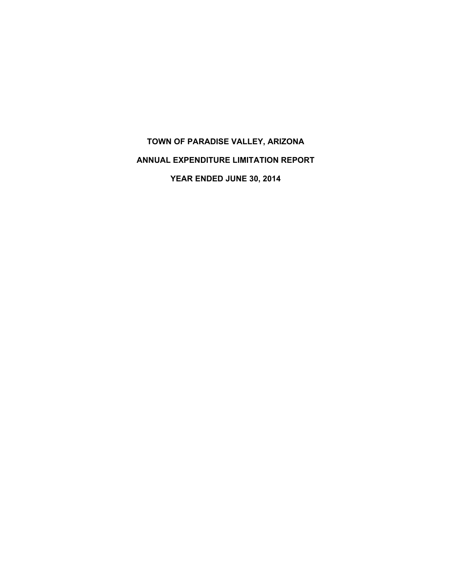# **TOWN OF PARADISE VALLEY, ARIZONA ANNUAL EXPENDITURE LIMITATION REPORT YEAR ENDED JUNE 30, 2014**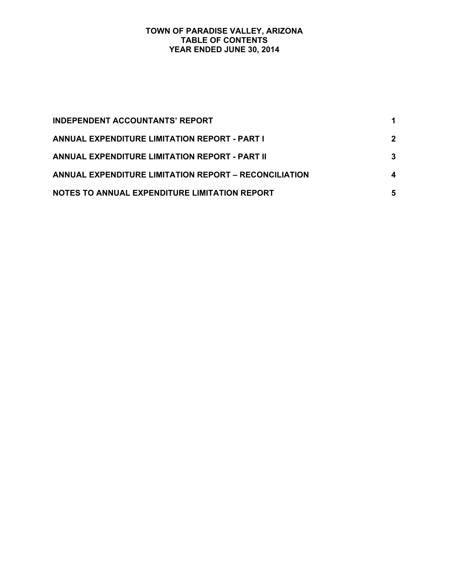## **TOWN OF PARADISE VALLEY, ARIZONA TABLE OF CONTENTS YEAR ENDED JUNE 30, 2014**

| <b>INDEPENDENT ACCOUNTANTS' REPORT</b>                       |              |
|--------------------------------------------------------------|--------------|
| <b>ANNUAL EXPENDITURE LIMITATION REPORT - PART I</b>         | $\mathbf{2}$ |
| <b>ANNUAL EXPENDITURE LIMITATION REPORT - PART II</b>        | 3            |
| <b>ANNUAL EXPENDITURE LIMITATION REPORT – RECONCILIATION</b> | 4            |
| NOTES TO ANNUAL EXPENDITURE LIMITATION REPORT                | 5            |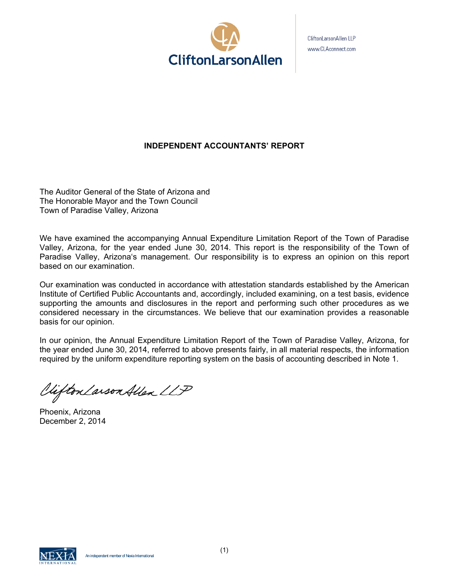

CliftonLarsonAllen LLP www.CLAconnect.com

# **INDEPENDENT ACCOUNTANTS' REPORT**

The Auditor General of the State of Arizona and The Honorable Mayor and the Town Council Town of Paradise Valley, Arizona

We have examined the accompanying Annual Expenditure Limitation Report of the Town of Paradise Valley, Arizona, for the year ended June 30, 2014. This report is the responsibility of the Town of Paradise Valley, Arizona's management. Our responsibility is to express an opinion on this report based on our examination.

Our examination was conducted in accordance with attestation standards established by the American Institute of Certified Public Accountants and, accordingly, included examining, on a test basis, evidence supporting the amounts and disclosures in the report and performing such other procedures as we considered necessary in the circumstances. We believe that our examination provides a reasonable basis for our opinion.

In our opinion, the Annual Expenditure Limitation Report of the Town of Paradise Valley, Arizona, for the year ended June 30, 2014, referred to above presents fairly, in all material respects, the information required by the uniform expenditure reporting system on the basis of accounting described in Note 1.

Viifton Larson Allen LLP

Phoenix, Arizona December 2, 2014

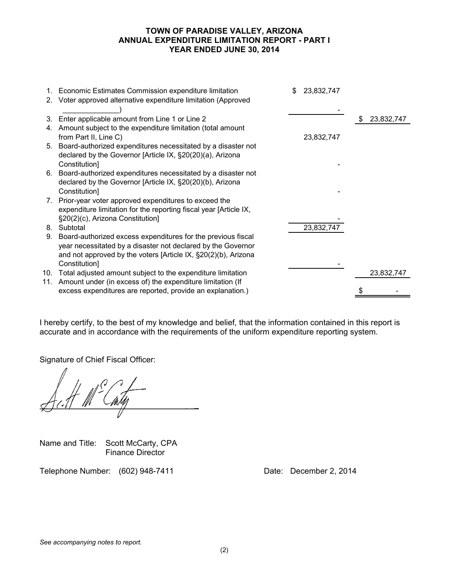#### **TOWN OF PARADISE VALLEY, ARIZONA ANNUAL EXPENDITURE LIMITATION REPORT - PART I YEAR ENDED JUNE 30, 2014**

|    | 1. Economic Estimates Commission expenditure limitation           | \$<br>23,832,747 |                  |
|----|-------------------------------------------------------------------|------------------|------------------|
|    | 2. Voter approved alternative expenditure limitation (Approved    |                  |                  |
|    |                                                                   |                  |                  |
| 3. | Enter applicable amount from Line 1 or Line 2                     |                  | \$<br>23,832,747 |
|    | 4. Amount subject to the expenditure limitation (total amount     |                  |                  |
|    | from Part II, Line C)                                             | 23,832,747       |                  |
|    | 5. Board-authorized expenditures necessitated by a disaster not   |                  |                  |
|    | declared by the Governor [Article IX, §20(20)(a), Arizona         |                  |                  |
|    | Constitution]                                                     |                  |                  |
|    | 6. Board-authorized expenditures necessitated by a disaster not   |                  |                  |
|    | declared by the Governor [Article IX, §20(20)(b), Arizona         |                  |                  |
|    | Constitution]                                                     |                  |                  |
|    | 7. Prior-year voter approved expenditures to exceed the           |                  |                  |
|    | expenditure limitation for the reporting fiscal year [Article IX, |                  |                  |
|    | §20(2)(c), Arizona Constitution]                                  |                  |                  |
|    | 8. Subtotal                                                       | 23,832,747       |                  |
| 9. | Board-authorized excess expenditures for the previous fiscal      |                  |                  |
|    | year necessitated by a disaster not declared by the Governor      |                  |                  |
|    | and not approved by the voters [Article IX, §20(2)(b), Arizona    |                  |                  |
|    | Constitution]                                                     |                  |                  |
|    | 10. Total adjusted amount subject to the expenditure limitation   |                  | 23,832,747       |
|    | 11. Amount under (in excess of) the expenditure limitation (If    |                  |                  |
|    | excess expenditures are reported, provide an explanation.)        |                  |                  |
|    |                                                                   |                  |                  |

I hereby certify, to the best of my knowledge and belief, that the information contained in this report is accurate and in accordance with the requirements of the uniform expenditure reporting system.

Signature of Chief Fiscal Officer:

Name and Title: Scott McCarty, CPA Finance Director

Telephone Number: (602) 948-7411 Date: December 2, 2014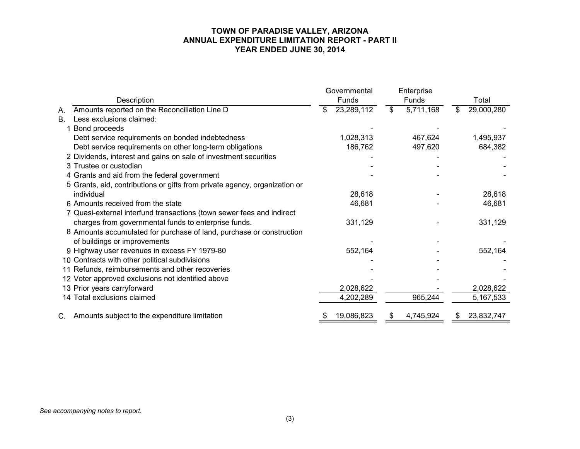## **TOWN OF PARADISE VALLEY, ARIZONA ANNUAL EXPENDITURE LIMITATION REPORT - PART II YEAR ENDED JUNE 30, 2014**

|           |                                                                            | Governmental     | Enterprise      |   |            |
|-----------|----------------------------------------------------------------------------|------------------|-----------------|---|------------|
|           | Description                                                                | Funds            | Funds           |   | Total      |
| Α.        | Amounts reported on the Reconciliation Line D                              | \$<br>23,289,112 | \$<br>5,711,168 | S | 29,000,280 |
| <b>B.</b> | Less exclusions claimed:                                                   |                  |                 |   |            |
|           | Bond proceeds                                                              |                  |                 |   |            |
|           | Debt service requirements on bonded indebtedness                           | 1,028,313        | 467,624         |   | 1,495,937  |
|           | Debt service requirements on other long-term obligations                   | 186,762          | 497,620         |   | 684,382    |
|           | 2 Dividends, interest and gains on sale of investment securities           |                  |                 |   |            |
|           | 3 Trustee or custodian                                                     |                  |                 |   |            |
|           | 4 Grants and aid from the federal government                               |                  |                 |   |            |
|           | 5 Grants, aid, contributions or gifts from private agency, organization or |                  |                 |   |            |
|           | individual                                                                 | 28,618           |                 |   | 28,618     |
|           | 6 Amounts received from the state                                          | 46,681           |                 |   | 46,681     |
|           | 7 Quasi-external interfund transactions (town sewer fees and indirect      |                  |                 |   |            |
|           | charges from governmental funds to enterprise funds.                       | 331,129          |                 |   | 331,129    |
|           | 8 Amounts accumulated for purchase of land, purchase or construction       |                  |                 |   |            |
|           | of buildings or improvements                                               |                  |                 |   |            |
|           | 9 Highway user revenues in excess FY 1979-80                               | 552,164          |                 |   | 552,164    |
|           | 10 Contracts with other political subdivisions                             |                  |                 |   |            |
|           | 11 Refunds, reimbursements and other recoveries                            |                  |                 |   |            |
|           | 12 Voter approved exclusions not identified above                          |                  |                 |   |            |
|           | 13 Prior years carryforward                                                | 2,028,622        |                 |   | 2,028,622  |
|           | 14 Total exclusions claimed                                                | 4,202,289        | 965,244         |   | 5,167,533  |
|           | C. Amounts subject to the expenditure limitation                           | 19,086,823       | 4,745,924       |   | 23,832,747 |

*See accompanying notes to report.*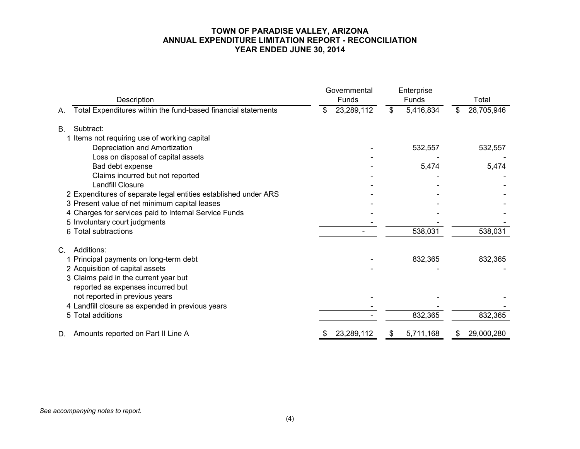## **TOWN OF PARADISE VALLEY, ARIZONA ANNUAL EXPENDITURE LIMITATION REPORT - RECONCILIATION YEAR ENDED JUNE 30, 2014**

| Description                                                                                                                            | Governmental<br>Funds | Enterprise<br>Funds | Total            |
|----------------------------------------------------------------------------------------------------------------------------------------|-----------------------|---------------------|------------------|
| Total Expenditures within the fund-based financial statements<br>А.                                                                    | 23,289,112<br>\$      | \$<br>5,416,834     | 28,705,946<br>S. |
| Subtract:<br><b>B.</b><br>1 Items not requiring use of working capital                                                                 |                       |                     |                  |
| Depreciation and Amortization<br>Loss on disposal of capital assets                                                                    |                       | 532,557             | 532,557          |
| Bad debt expense<br>Claims incurred but not reported                                                                                   |                       | 5,474               | 5,474            |
| Landfill Closure<br>2 Expenditures of separate legal entities established under ARS<br>3 Present value of net minimum capital leases   |                       |                     |                  |
| 4 Charges for services paid to Internal Service Funds<br>5 Involuntary court judgments                                                 |                       |                     |                  |
| 6 Total subtractions                                                                                                                   |                       | 538,031             | 538,031          |
| Additions:<br>C.<br>1 Principal payments on long-term debt<br>2 Acquisition of capital assets<br>3 Claims paid in the current year but |                       | 832,365             | 832,365          |
| reported as expenses incurred but<br>not reported in previous years<br>4 Landfill closure as expended in previous years                |                       |                     |                  |
| 5 Total additions                                                                                                                      |                       | 832,365             | 832,365          |
| Amounts reported on Part II Line A<br>D.                                                                                               | 23,289,112            | 5,711,168<br>S.     | 29,000,280<br>æ  |

#### *See accompanying notes to report.*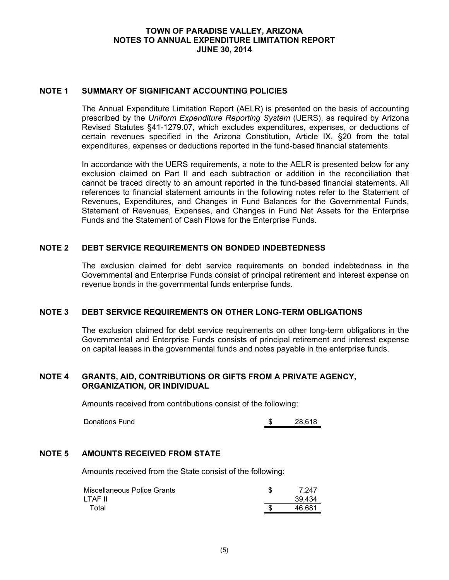#### **TOWN OF PARADISE VALLEY, ARIZONA NOTES TO ANNUAL EXPENDITURE LIMITATION REPORT JUNE 30, 2014**

#### **NOTE 1 SUMMARY OF SIGNIFICANT ACCOUNTING POLICIES**

The Annual Expenditure Limitation Report (AELR) is presented on the basis of accounting prescribed by the *Uniform Expenditure Reporting System* (UERS), as required by Arizona Revised Statutes §41-1279.07, which excludes expenditures, expenses, or deductions of certain revenues specified in the Arizona Constitution, Article IX, §20 from the total expenditures, expenses or deductions reported in the fund-based financial statements.

In accordance with the UERS requirements, a note to the AELR is presented below for any exclusion claimed on Part II and each subtraction or addition in the reconciliation that cannot be traced directly to an amount reported in the fund-based financial statements. All references to financial statement amounts in the following notes refer to the Statement of Revenues, Expenditures, and Changes in Fund Balances for the Governmental Funds, Statement of Revenues, Expenses, and Changes in Fund Net Assets for the Enterprise Funds and the Statement of Cash Flows for the Enterprise Funds.

#### **NOTE 2 DEBT SERVICE REQUIREMENTS ON BONDED INDEBTEDNESS**

The exclusion claimed for debt service requirements on bonded indebtedness in the Governmental and Enterprise Funds consist of principal retirement and interest expense on revenue bonds in the governmental funds enterprise funds.

#### **NOTE 3 DEBT SERVICE REQUIREMENTS ON OTHER LONG-TERM OBLIGATIONS**

The exclusion claimed for debt service requirements on other long-term obligations in the Governmental and Enterprise Funds consists of principal retirement and interest expense on capital leases in the governmental funds and notes payable in the enterprise funds.

#### **NOTE 4 GRANTS, AID, CONTRIBUTIONS OR GIFTS FROM A PRIVATE AGENCY, ORGANIZATION, OR INDIVIDUAL**

Amounts received from contributions consist of the following:

Donations Fund 5 28,618

#### **NOTE 5 AMOUNTS RECEIVED FROM STATE**

Amounts received from the State consist of the following:

| Miscellaneous Police Grants | 7.247  |
|-----------------------------|--------|
| LTAF II                     | 39.434 |
| Total                       | 46.681 |
|                             |        |